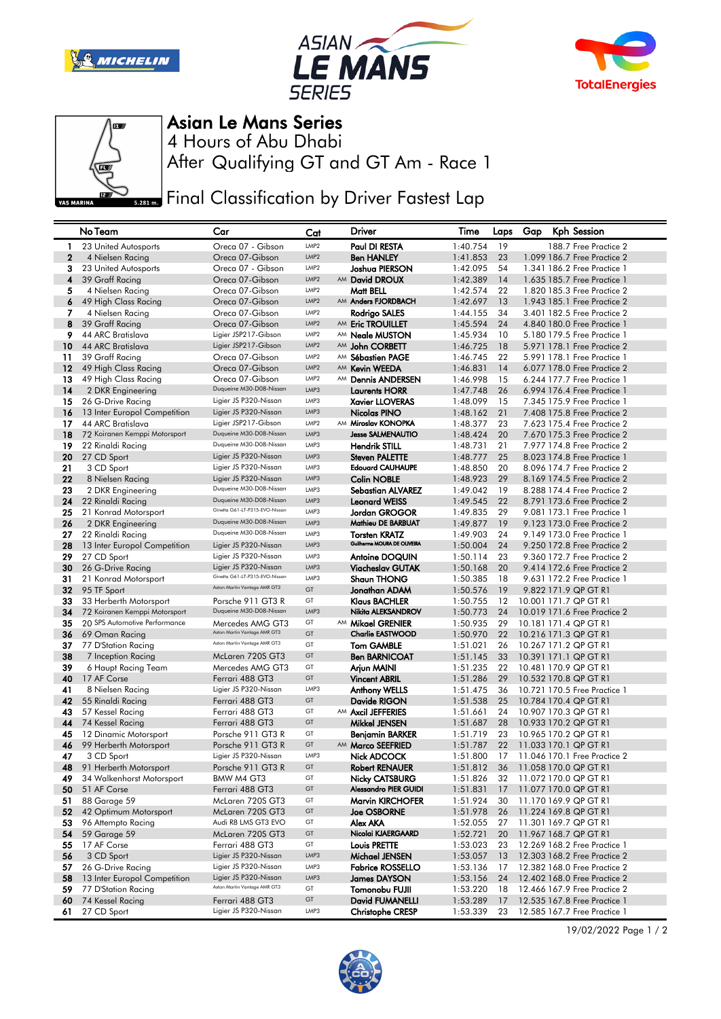







Asian Le Mans Series

After Qualifying GT and GT Am - Race 1 4 Hours of Abu Dhabi

**Final Classification by Driver Fastest Lap** 

|              | No Team                                  | Car                                        | Cat              | Driver                                                | Time                 | Laps Gap | Kph Session                                           |
|--------------|------------------------------------------|--------------------------------------------|------------------|-------------------------------------------------------|----------------------|----------|-------------------------------------------------------|
| -1           | 23 United Autosports                     | Oreca 07 - Gibson                          | LMP <sub>2</sub> | Paul DI RESTA                                         | 1:40.754             | 19       | 188.7 Free Practice 2                                 |
| $\mathbf{2}$ | 4 Nielsen Racing                         | Oreca 07-Gibson                            | LMP <sub>2</sub> | <b>Ben HANLEY</b>                                     | 1:41.853             | 23       | 1.099 186.7 Free Practice 2                           |
| 3            | 23 United Autosports                     | Oreca 07 - Gibson                          | LMP <sub>2</sub> | Joshua PIERSON                                        | 1:42.095             | 54       | 1.341 186.2 Free Practice 1                           |
| 4            | 39 Graff Racing                          | Oreca 07-Gibson                            | LMP <sub>2</sub> | AM David DROUX                                        | 1:42.389             | 14       | 1.635 185.7 Free Practice 1                           |
| 5            | 4 Nielsen Racing                         | Oreca 07-Gibson                            | LMP2             | Matt BELL                                             | 1:42.574             | 22       | 1,820 185,3 Free Practice 2                           |
| 6            | 49 High Class Racing                     | Oreca 07-Gibson                            | LMP <sub>2</sub> | AM Anders FJORDBACH                                   | 1:42.697             | 13       | 1.943 185.1 Free Practice 2                           |
| 7            | 4 Nielsen Racing                         | Oreca 07-Gibson                            | LMP <sub>2</sub> | Rodrigo SALES                                         | 1:44.155             | 34       | 3.401 182.5 Free Practice 2                           |
| 8            | 39 Graff Racing                          | Oreca 07-Gibson                            | LMP <sub>2</sub> | AM Eric TROUILLET                                     | 1:45.594             | 24       | 4.840 180.0 Free Practice 1                           |
| 9            | 44 ARC Bratislava                        | Ligier JSP217-Gibson                       | LMP <sub>2</sub> | AM <b>Neale MUSTON</b>                                | 1:45.934             | 10       | 5.180 179.5 Free Practice 1                           |
| 10           | 44 ARC Bratislava                        | Ligier JSP217-Gibson                       | LMP <sub>2</sub> | AM John CORBETT                                       | 1:46.725             | 18       | 5.971 178.1 Free Practice 2                           |
| 11           | 39 Graff Racing                          | Oreca 07-Gibson                            | LMP <sub>2</sub> | AM Sébastien PAGE                                     | 1:46.745             | 22       | 5.991 178.1 Free Practice 1                           |
| 12           | 49 High Class Racing                     | Oreca 07-Gibson                            | LMP <sub>2</sub> | AM Kevin WEEDA                                        | 1:46.831             | 14       | 6.077 178.0 Free Practice 2                           |
| 13           | 49 High Class Racing                     | Oreca 07-Gibson                            | LMP <sub>2</sub> | AM Dennis ANDERSEN                                    | 1:46.998             | 15       | 6.244 177.7 Free Practice 1                           |
| 14           | 2 DKR Engineering                        | Duqueine M30-D08-Nissan                    | LMP3             | <b>Laurents HORR</b>                                  | 1:47.748             | 26       | 6.994 176.4 Free Practice 1                           |
| 15           | 26 G-Drive Racing                        | Ligier JS P320-Nissan                      | LMP3             | <b>Xavier LLOVERAS</b>                                | 1:48.099             | 15       | 7.345 175.9 Free Practice 1                           |
| 16           | 13 Inter Europol Competition             | Ligier JS P320-Nissan                      | LMP3             | Nicolas PINO                                          | 1:48.162             | 21       | 7.408 175.8 Free Practice 2                           |
| 17           | 44 ARC Bratislava                        | Ligier JSP217-Gibson                       | LMP <sub>2</sub> | AM Miroslav KONOPKA                                   | 1:48.377             | 23       | 7.623 175.4 Free Practice 2                           |
| 18           | 72 Koiranen Kemppi Motorsport            | Duqueine M30-D08-Nissan                    | LMP3             | <b>Jesse SALMENAUTIO</b>                              | 1:48.424             | 20       | 7.670 175.3 Free Practice 2                           |
| 19           | 22 Rinaldi Racing                        | Duqueine M30-D08-Nissan                    | LMP3             | <b>Hendrik STILL</b>                                  | 1:48.731             | 21       | 7.977 174.8 Free Practice 2                           |
| 20           | 27 CD Sport                              | Ligier JS P320-Nissan                      | LMP3             | <b>Steven PALETTE</b>                                 | 1:48.777             | 25       | 8.023 174.8 Free Practice 1                           |
| 21           | 3 CD Sport                               | Ligier JS P320-Nissan                      | LMP3             | <b>Edouard CAUHAUPE</b>                               | 1:48.850             | 20       | 8.096 174.7 Free Practice 2                           |
| 22           | 8 Nielsen Racing                         | Ligier JS P320-Nissan                      | LMP3             | <b>Colin NOBLE</b>                                    | 1:48.923             | 29       | 8.169 174.5 Free Practice 2                           |
| 23           | 2 DKR Engineering                        | Duqueine M30-D08-Nissan                    | LMP3             | <b>Sebastian ALVAREZ</b>                              | 1:49.042             | 19       | 8.288 174.4 Free Practice 2                           |
| 24           | 22 Rinaldi Racing                        | Duqueine M30-D08-Nissan                    | LMP3             | <b>Leonard WEISS</b>                                  | 1:49.545             | 22       | 8.791 173.6 Free Practice 2                           |
| 25           | 21 Konrad Motorsport                     | Ginetta G61-LT-P315-EVO-Nissan             | LMP3             | Jordan GROGOR                                         | 1:49.835             | 29       | 9.081 173.1 Free Practice 1                           |
| 26           | 2 DKR Engineering                        | Duqueine M30-D08-Nissan                    | LMP3             | Mathieu DE BARBUAT                                    | 1:49.877             | 19       | 9.123 173.0 Free Practice 2                           |
| 27           | 22 Rinaldi Racing                        | Duqueine M30-D08-Nissan                    | LMP3             | <b>Torsten KRATZ</b>                                  | 1:49.903             | 24       | 9.149 173.0 Free Practice 1                           |
| 28           | 13 Inter Europol Competition             | Ligier JS P320-Nissan                      | LMP3             | Guilherme MOURA DE OLIVEIRA                           | 1:50.004             | 24       | 9.250 172.8 Free Practice 2                           |
| 29           | 27 CD Sport                              | Ligier JS P320-Nissan                      | LMP3             | <b>Antoine DOQUIN</b>                                 | 1:50.114             | 23       | 9.360 172.7 Free Practice 2                           |
| 30           | 26 G-Drive Racing                        | Ligier JS P320-Nissan                      | LMP3             | Viacheslav GUTAK                                      | 1:50.168             | 20       | 9.414 172.6 Free Practice 2                           |
| 31           | 21 Konrad Motorsport                     | Ginetta G61-LT-P315-EVO-Nissan             | LMP3             | <b>Shaun THONG</b>                                    | 1:50.385             | 18       | 9.631 172.2 Free Practice 1                           |
| 32           | 95 TF Sport                              | Aston Martin Vantage AMR GT3               | GT               | Jonathan ADAM                                         | 1:50.576             | 19       | 9.822 171.9 QP GT R1                                  |
| 33           | 33 Herberth Motorsport                   | Porsche 911 GT3 R                          | GT               | <b>Klaus BACHLER</b>                                  | 1:50.755             | 12       | 10.001 171.7 QP GT R1                                 |
| 34           | 72 Koiranen Kemppi Motorsport            | Duqueine M30-D08-Nissan                    | LMP3             | Nikita ALEKSANDROV                                    | 1:50.773             | 24       | 10.019 171.6 Free Practice 2                          |
| 35           | 20 SPS Automotive Performance            | Mercedes AMG GT3                           | GT               | AM Mikael GRENIER                                     | 1:50.935             | 29       | 10.181 171.4 QP GT R1                                 |
| 36           | 69 Oman Racing                           | Aston Martin Vantage AMR GT3               | GT               | <b>Charlie EASTWOOD</b>                               | 1:50.970             | 22       | 10.216 171.3 QP GT R1                                 |
| 37           | 77 D'Station Racing                      | Aston Martin Vantage AMR GT3               | GT               | <b>Tom GAMBLE</b>                                     | 1:51.021             | 26       | 10.267 171.2 QP GT R1                                 |
| 38           | 7 Inception Racing                       | McLaren 720S GT3                           | GT               | <b>Ben BARNICOAT</b>                                  | 1:51.145             | 33       | 10.391 171.1 QP GT R1                                 |
| 39           | 6 Haupt Racing Team                      | Mercedes AMG GT3                           | GT               | Arjun MAINI                                           | 1:51.235             | 22       | 10.481 170.9 QP GT R1                                 |
| 40           | 17 AF Corse                              | Ferrari 488 GT3                            | GT               | <b>Vincent ABRIL</b>                                  | 1:51.286             | 29       | 10.532 170.8 QP GT R1                                 |
| 41           | 8 Nielsen Racing                         | Ligier JS P320-Nissan                      | LMP3             | Anthony WELLS                                         | 1:51.475             | 36       | 10.721 170.5 Free Practice 1                          |
| 42           | 55 Rinaldi Racing                        | Ferrari 488 GT3                            | GT               | Davide RIGON                                          | 1:51.538             | 25       | 10.784 170.4 QP GT R1                                 |
| 43           | 57 Kessel Racing                         | Ferrari 488 GT3                            | GT               | AM Axcil JEFFERIES                                    | 1:51.661             | 24       | 10.907 170.3 QP GT R1                                 |
| 44           | 74 Kessel Racing                         | Ferrari 488 GT3                            | GT               | Mikkel JENSEN                                         | 1:51.687             | 28       | 10.933 170.2 QP GT R1                                 |
| 45           | 12 Dinamic Motorsport                    | Porsche 911 GT3 R                          | GT<br>GT         | Benjamin BARKER                                       | 1:51.719             | 23       | 10.965 170.2 QP GT R1                                 |
| 46           | 99 Herberth Motorsport                   | Porsche 911 GT3 R<br>Ligier JS P320-Nissan | LMP3             | AM Marco SEEFRIED                                     | 1:51.787             | 22       | 11.033 170.1 QP GT R1                                 |
| 47           | 3 CD Sport                               |                                            | GT               | <b>Nick ADCOCK</b>                                    | 1:51.800             | 17       | 11.046 170.1 Free Practice 2<br>11.058 170.0 QP GT R1 |
| 48           | 91 Herberth Motorsport                   | Porsche 911 GT3 R                          | GT               | Robert RENAUER                                        | 1:51.812             | 36       |                                                       |
| 49           | 34 Walkenhorst Motorsport<br>51 AF Corse | BMW M4 GT3<br>Ferrari 488 GT3              | GT               | <b>Nicky CATSBURG</b><br><b>Alessandro PIER GUIDI</b> | 1:51.826             | 32       | 11.072 170.0 QP GT R1                                 |
| 50<br>51     | 88 Garage 59                             | McLaren 720S GT3                           | GT               | Marvin KIRCHOFER                                      | 1:51.831<br>1:51.924 | 17<br>30 | 11.077 170.0 QP GT R1<br>11.170 169.9 QP GT R1        |
| 52           | 42 Optimum Motorsport                    | McLaren 720S GT3                           | GT               |                                                       |                      |          | 11.224 169.8 QP GT R1                                 |
| 53           | 96 Attempto Racing                       | Audi R8 LMS GT3 EVO                        | GT               | <b>Joe OSBORNE</b><br>Alex AKA                        | 1:51.978<br>1:52.055 | 26<br>27 | 11.301 169.7 QP GT R1                                 |
| 54           | 59 Garage 59                             | McLaren 720S GT3                           | GT               | Nicolai KJAERGAARD                                    | 1:52.721             | 20       | 11.967 168.7 QP GT R1                                 |
| 55           | 17 AF Corse                              | Ferrari 488 GT3                            | GT               | <b>Louis PRETTE</b>                                   | 1:53.023             | 23       | 12.269 168.2 Free Practice 1                          |
| 56           | 3 CD Sport                               | Ligier JS P320-Nissan                      | LMP3             | Michael JENSEN                                        | 1:53.057             | 13       | 12.303 168.2 Free Practice 2                          |
| 57           | 26 G-Drive Racing                        | Ligier JS P320-Nissan                      | LMP3             | <b>Fabrice ROSSELLO</b>                               | 1:53.136             | 17       | 12.382 168.0 Free Practice 2                          |
| 58           | 13 Inter Europol Competition             | Ligier JS P320-Nissan                      | LMP3             | <b>James DAYSON</b>                                   | 1:53.156             | 24       | 12.402 168.0 Free Practice 2                          |
| 59           | 77 D'Station Racing                      | Aston Martin Vantage AMR GT3               | GT               | Tomonobu FUJII                                        | 1:53.220             | 18       | 12.466 167.9 Free Practice 2                          |
| 60           | 74 Kessel Racing                         | Ferrari 488 GT3                            | GT               | David FUMANELLI                                       | 1:53.289             | 17       | 12.535 167.8 Free Practice 1                          |
| 61           | 27 CD Sport                              | Ligier JS P320-Nissan                      | LMP3             | <b>Christophe CRESP</b>                               | 1:53.339             | 23       | 12.585 167.7 Free Practice 1                          |
|              |                                          |                                            |                  |                                                       |                      |          |                                                       |



19/02/2022 Page 1 / 2